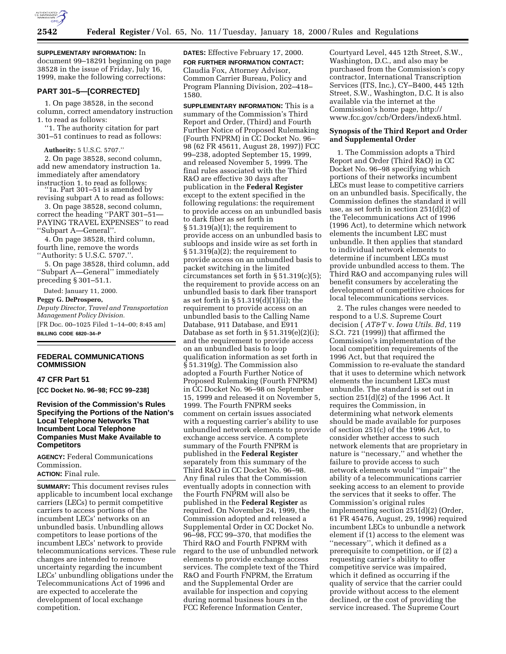

## **2542 Federal Register** / Vol. 65, No. 11 / Tuesday, January 18, 2000 / Rules and Regulations

**SUPPLEMENTARY INFORMATION:** In document 99–18291 beginning on page 38528 in the issue of Friday, July 16, 1999, make the following corrections:

#### **PART 301–5—[CORRECTED]**

1. On page 38528, in the second column, correct amendatory instruction 1. to read as follows:

''1. The authority citation for part 301–51 continues to read as follows:

**Authority:** 5 U.S.C. 5707.''

2. On page 38528, second column, add new amendatory instruction 1a. immediately after amendatory instruction 1. to read as follows:

''1a. Part 301–51 is amended by revising subpart A to read as follows:

3. On page 38528, second column, correct the heading ''PART 301–51— PAYING TRAVEL EXPENSES'' to read ''Subpart A—General''.

4. On page 38528, third column, fourth line, remove the words

''Authority: 5 U.S.C. 5707.''.

5. On page 38528, third column, add ''Subpart A—General'' immediately preceding § 301–51.1.

Dated: January 11, 2000.

# **Peggy G. DeProspero,**

*Deputy Director, Travel and Transportation Management Policy Division.*

[FR Doc. 00–1025 Filed 1–14–00; 8:45 am] **BILLING CODE 6820–34–P**

#### **FEDERAL COMMUNICATIONS COMMISSION**

#### **47 CFR Part 51**

**[CC Docket No. 96–98; FCC 99–238]**

## **Revision of the Commission's Rules Specifying the Portions of the Nation's Local Telephone Networks That Incumbent Local Telephone Companies Must Make Available to Competitors**

**AGENCY:** Federal Communications Commission.

**ACTION:** Final rule.

**SUMMARY:** This document revises rules applicable to incumbent local exchange carriers (LECs) to permit competitive carriers to access portions of the incumbent LECs' networks on an unbundled basis. Unbundling allows competitors to lease portions of the incumbent LECs' network to provide telecommunications services. These rule changes are intended to remove uncertainty regarding the incumbent LECs' unbundling obligations under the Telecommunications Act of 1996 and are expected to accelerate the development of local exchange competition.

**DATES:** Effective February 17, 2000. **FOR FURTHER INFORMATION CONTACT:** Claudia Fox, Attorney Advisor, Common Carrier Bureau, Policy and Program Planning Division, 202–418– 1580.

**SUPPLEMENTARY INFORMATION:** This is a summary of the Commission's Third Report and Order, (Third) and Fourth Further Notice of Proposed Rulemaking (Fourth FNPRM) in CC Docket No. 96– 98 (62 FR 45611, August 28, 1997)) FCC 99–238, adopted September 15, 1999, and released November 5, 1999. The final rules associated with the Third R&O are effective 30 days after publication in the **Federal Register** except to the extent specified in the following regulations: the requirement to provide access on an unbundled basis to dark fiber as set forth in  $§ 51.319(a)(1);$  the requirement to provide access on an unbundled basis to subloops and inside wire as set forth in § 51.319(a)(2); the requirement to provide access on an unbundled basis to packet switching in the limited circumstances set forth in § 51.319(c)(5); the requirement to provide access on an unbundled basis to dark fiber transport as set forth in § 51.319(d)(1)(ii); the requirement to provide access on an unbundled basis to the Calling Name Database, 911 Database, and E911 Database as set forth in  $\S 51.319(e)(2)(i)$ ; and the requirement to provide access on an unbundled basis to loop qualification information as set forth in § 51.319(g). The Commission also adopted a Fourth Further Notice of Proposed Rulemaking (Fourth FNPRM) in CC Docket No. 96–98 on September 15, 1999 and released it on November 5, 1999. The Fourth FNPRM seeks comment on certain issues associated with a requesting carrier's ability to use unbundled network elements to provide exchange access service. A complete summary of the Fourth FNPRM is published in the **Federal Register** separately from this summary of the Third R&O in CC Docket No. 96–98. Any final rules that the Commission eventually adopts in connection with the Fourth FNPRM will also be published in the **Federal Register** as required. On November 24, 1999, the Commission adopted and released a Supplemental Order in CC Docket No. 96–98, FCC 99–370, that modifies the Third R&O and Fourth FNPRM with regard to the use of unbundled network elements to provide exchange access services. The complete text of the Third R&O and Fourth FNPRM, the Erratum and the Supplemental Order are available for inspection and copying during normal business hours in the FCC Reference Information Center,

Courtyard Level, 445 12th Street, S.W., Washington, D.C., and also may be purchased from the Commission's copy contractor, International Transcription Services (ITS, Inc.), CY–B400, 445 12th Street, S.W., Washington, D.C. It is also available via the internet at the Commission's home page, http:// www.fcc.gov/ccb/Orders/index6.html.

# **Synopsis of the Third Report and Order and Supplemental Order**

1. The Commission adopts a Third Report and Order (Third R&O) in CC Docket No. 96–98 specifying which portions of their networks incumbent LECs must lease to competitive carriers on an unbundled basis. Specifically, the Commission defines the standard it will use, as set forth in section 251(d)(2) of the Telecommunications Act of 1996 (1996 Act), to determine which network elements the incumbent LEC must unbundle. It then applies that standard to individual network elements to determine if incumbent LECs must provide unbundled access to them. The Third R&O and accompanying rules will benefit consumers by accelerating the development of competitive choices for local telecommunications services.

2. The rules changes were needed to respond to a U.S. Supreme Court decision ( *AT&T* v. *Iowa Utils. Bd*, 119 S.Ct. 721 (1999)) that affirmed the Commission's implementation of the local competition requirements of the 1996 Act, but that required the Commission to re-evaluate the standard that it uses to determine which network elements the incumbent LECs must unbundle. The standard is set out in section 251(d)(2) of the 1996 Act. It requires the Commission, in determining what network elements should be made available for purposes of section 251(c) of the 1996 Act, to consider whether access to such network elements that are proprietary in nature is ''necessary,'' and whether the failure to provide access to such network elements would ''impair'' the ability of a telecommunications carrier seeking access to an element to provide the services that it seeks to offer. The Commission's original rules implementing section 251(d)(2) (Order, 61 FR 45476, August, 29, 1996) required incumbent LECs to unbundle a network element if (1) access to the element was ''necessary'', which it defined as a prerequisite to competition, or if (2) a requesting carrier's ability to offer competitive service was impaired, which it defined as occurring if the quality of service that the carrier could provide without access to the element declined, or the cost of providing the service increased. The Supreme Court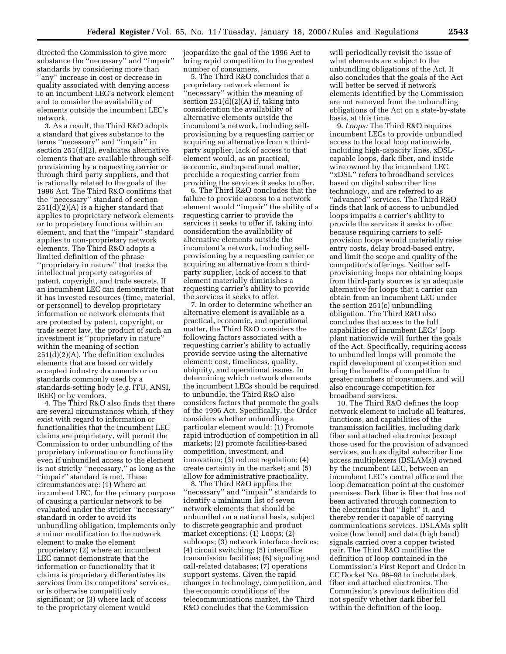directed the Commission to give more substance the ''necessary'' and ''impair'' standards by considering more than ''any'' increase in cost or decrease in quality associated with denying access to an incumbent LEC's network element and to consider the availability of elements outside the incumbent LEC's network.

3. As a result, the Third R&O adopts a standard that gives substance to the terms ''necessary'' and ''impair'' in section 251(d)(2), evaluates alternative elements that are available through selfprovisioning by a requesting carrier or through third party suppliers, and that is rationally related to the goals of the 1996 Act. The Third R&O confirms that the ''necessary'' standard of section 251(d)(2)(A) is a higher standard that applies to proprietary network elements or to proprietary functions within an element, and that the ''impair'' standard applies to non-proprietary network elements. The Third R&O adopts a limited definition of the phrase ''proprietary in nature'' that tracks the intellectual property categories of patent, copyright, and trade secrets. If an incumbent LEC can demonstrate that it has invested resources (time, material, or personnel) to develop proprietary information or network elements that are protected by patent, copyright, or trade secret law, the product of such an investment is ''proprietary in nature'' within the meaning of section 251(d)(2)(A). The definition excludes elements that are based on widely accepted industry documents or on standards commonly used by a standards-setting body (*e.g.* ITU, ANSI, IEEE) or by vendors.

4. The Third R&O also finds that there are several circumstances which, if they exist with regard to information or functionalities that the incumbent LEC claims are proprietary, will permit the Commission to order unbundling of the proprietary information or functionality even if unbundled access to the element is not strictly ''necessary,'' as long as the ''impair'' standard is met. These circumstances are: (1) Where an incumbent LEC, for the primary purpose of causing a particular network to be evaluated under the stricter ''necessary'' standard in order to avoid its unbundling obligation, implements only a minor modification to the network element to make the element proprietary; (2) where an incumbent LEC cannot demonstrate that the information or functionality that it claims is proprietary differentiates its services from its competitors' services, or is otherwise competitively significant; or (3) where lack of access to the proprietary element would

jeopardize the goal of the 1996 Act to bring rapid competition to the greatest number of consumers.

5. The Third R&O concludes that a proprietary network element is ''necessary'' within the meaning of section 251(d)(2)(A) if, taking into consideration the availability of alternative elements outside the incumbent's network, including selfprovisioning by a requesting carrier or acquiring an alternative from a thirdparty supplier, lack of access to that element would, as an practical, economic, and operational matter, preclude a requesting carrier from providing the services it seeks to offer.

6. The Third R&O concludes that the failure to provide access to a network element would ''impair'' the ability of a requesting carrier to provide the services it seeks to offer if, taking into consideration the availability of alternative elements outside the incumbent's network, including selfprovisioning by a requesting carrier or acquiring an alternative from a thirdparty supplier, lack of access to that element materially diminishes a requesting carrier's ability to provide the services it seeks to offer.

7. In order to determine whether an alternative element is available as a practical, economic, and operational matter, the Third R&O considers the following factors associated with a requesting carrier's ability to actually provide service using the alternative element: cost, timeliness, quality, ubiquity, and operational issues. In determining which network elements the incumbent LECs should be required to unbundle, the Third R&O also considers factors that promote the goals of the 1996 Act. Specifically, the Order considers whether unbundling a particular element would: (1) Promote rapid introduction of competition in all markets; (2) promote facilities-based competition, investment, and innovation; (3) reduce regulation; (4) create certainty in the market; and (5) allow for administrative practicality.

8. The Third R&O applies the ''necessary'' and ''impair'' standards to identify a minimum list of seven network elements that should be unbundled on a national basis, subject to discrete geographic and product market exceptions: (1) Loops; (2) subloops; (3) network interface devices; (4) circuit switching; (5) interoffice transmission facilities; (6) signaling and call-related databases; (7) operations support systems. Given the rapid changes in technology, competition, and the economic conditions of the telecommunications market, the Third R&O concludes that the Commission

will periodically revisit the issue of what elements are subject to the unbundling obligations of the Act. It also concludes that the goals of the Act will better be served if network elements identified by the Commission are not removed from the unbundling obligations of the Act on a state-by-state basis, at this time.

9. *Loops:* The Third R&O requires incumbent LECs to provide unbundled access to the local loop nationwide, including high-capacity lines, xDSLcapable loops, dark fiber, and inside wire owned by the incumbent LEC. ''xDSL'' refers to broadband services based on digital subscriber line technology, and are referred to as "advanced" services. The Third R&O finds that lack of access to unbundled loops impairs a carrier's ability to provide the services it seeks to offer because requiring carriers to selfprovision loops would materially raise entry costs, delay broad-based entry, and limit the scope and quality of the competitor's offerings. Neither selfprovisioning loops nor obtaining loops from third-party sources is an adequate alternative for loops that a carrier can obtain from an incumbent LEC under the section 251(c) unbundling obligation. The Third R&O also concludes that access to the full capabilities of incumbent LECs' loop plant nationwide will further the goals of the Act. Specifically, requiring access to unbundled loops will promote the rapid development of competition and bring the benefits of competition to greater numbers of consumers, and will also encourage competition for broadband services.

10. The Third R&O defines the loop network element to include all features, functions, and capabilities of the transmission facilities, including dark fiber and attached electronics (except those used for the provision of advanced services, such as digital subscriber line access multiplexers (DSLAMs)) owned by the incumbent LEC, between an incumbent LEC's central office and the loop demarcation point at the customer premises. Dark fiber is fiber that has not been activated through connection to the electronics that ''light'' it, and thereby render it capable of carrying communications services. DSLAMs split voice (low band) and data (high band) signals carried over a copper twisted pair. The Third R&O modifies the definition of loop contained in the Commission's First Report and Order in CC Docket No. 96–98 to include dark fiber and attached electronics. The Commission's previous definition did not specify whether dark fiber fell within the definition of the loop.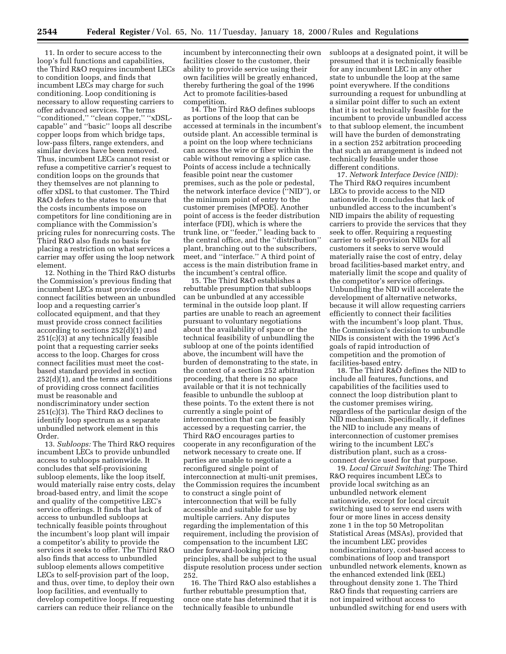11. In order to secure access to the loop's full functions and capabilities, the Third R&O requires incumbent LECs to condition loops, and finds that incumbent LECs may charge for such conditioning. Loop conditioning is necessary to allow requesting carriers to offer advanced services. The terms ''conditioned,'' ''clean copper,'' ''xDSLcapable'' and ''basic'' loops all describe copper loops from which bridge taps, low-pass filters, range extenders, and similar devices have been removed. Thus, incumbent LECs cannot resist or refuse a competitive carrier's request to condition loops on the grounds that they themselves are not planning to offer xDSL to that customer. The Third R&O defers to the states to ensure that the costs incumbents impose on competitors for line conditioning are in compliance with the Commission's pricing rules for nonrecurring costs. The Third R&O also finds no basis for placing a restriction on what services a carrier may offer using the loop network element.

12. Nothing in the Third R&O disturbs the Commission's previous finding that incumbent LECs must provide cross connect facilities between an unbundled loop and a requesting carrier's collocated equipment, and that they must provide cross connect facilities according to sections 252(d)(1) and 251(c)(3) at any technically feasible point that a requesting carrier seeks access to the loop. Charges for cross connect facilities must meet the costbased standard provided in section 252(d)(1), and the terms and conditions of providing cross connect facilities must be reasonable and nondiscriminatory under section 251(c)(3). The Third R&O declines to identify loop spectrum as a separate unbundled network element in this Order.

13. *Subloops:* The Third R&O requires incumbent LECs to provide unbundled access to subloops nationwide. It concludes that self-provisioning subloop elements, like the loop itself, would materially raise entry costs, delay broad-based entry, and limit the scope and quality of the competitive LEC's service offerings. It finds that lack of access to unbundled subloops at technically feasible points throughout the incumbent's loop plant will impair a competitor's ability to provide the services it seeks to offer. The Third R&O also finds that access to unbundled subloop elements allows competitive LECs to self-provision part of the loop, and thus, over time, to deploy their own loop facilities, and eventually to develop competitive loops. If requesting carriers can reduce their reliance on the

incumbent by interconnecting their own facilities closer to the customer, their ability to provide service using their own facilities will be greatly enhanced, thereby furthering the goal of the 1996 Act to promote facilities-based competition.

14. The Third R&O defines subloops as portions of the loop that can be accessed at terminals in the incumbent's outside plant. An accessible terminal is a point on the loop where technicians can access the wire or fiber within the cable without removing a splice case. Points of access include a technically feasible point near the customer premises, such as the pole or pedestal, the network interface device (''NID''), or the minimum point of entry to the customer premises (MPOE). Another point of access is the feeder distribution interface (FDI), which is where the trunk line, or ''feeder,'' leading back to the central office, and the ''distribution'' plant, branching out to the subscribers, meet, and ''interface.'' A third point of access is the main distribution frame in the incumbent's central office.

15. The Third R&O establishes a rebuttable presumption that subloops can be unbundled at any accessible terminal in the outside loop plant. If parties are unable to reach an agreement pursuant to voluntary negotiations about the availability of space or the technical feasibility of unbundling the subloop at one of the points identified above, the incumbent will have the burden of demonstrating to the state, in the context of a section 252 arbitration proceeding, that there is no space available or that it is not technically feasible to unbundle the subloop at these points. To the extent there is not currently a single point of interconnection that can be feasibly accessed by a requesting carrier, the Third R&O encourages parties to cooperate in any reconfiguration of the network necessary to create one. If parties are unable to negotiate a reconfigured single point of interconnection at multi-unit premises, the Commission requires the incumbent to construct a single point of interconnection that will be fully accessible and suitable for use by multiple carriers. Any disputes regarding the implementation of this requirement, including the provision of compensation to the incumbent LEC under forward-looking pricing principles, shall be subject to the usual dispute resolution process under section 252.

16. The Third R&O also establishes a further rebuttable presumption that, once one state has determined that it is technically feasible to unbundle

subloops at a designated point, it will be presumed that it is technically feasible for any incumbent LEC in any other state to unbundle the loop at the same point everywhere. If the conditions surrounding a request for unbundling at a similar point differ to such an extent that it is not technically feasible for the incumbent to provide unbundled access to that subloop element, the incumbent will have the burden of demonstrating in a section 252 arbitration proceeding that such an arrangement is indeed not technically feasible under those different conditions.

17. *Network Interface Device (NID):* The Third R&O requires incumbent LECs to provide access to the NID nationwide. It concludes that lack of unbundled access to the incumbent's NID impairs the ability of requesting carriers to provide the services that they seek to offer. Requiring a requesting carrier to self-provision NIDs for all customers it seeks to serve would materially raise the cost of entry, delay broad facilities-based market entry, and materially limit the scope and quality of the competitor's service offerings. Unbundling the NID will accelerate the development of alternative networks, because it will allow requesting carriers efficiently to connect their facilities with the incumbent's loop plant. Thus, the Commission's decision to unbundle NIDs is consistent with the 1996 Act's goals of rapid introduction of competition and the promotion of facilities-based entry.

18. The Third R&O defines the NID to include all features, functions, and capabilities of the facilities used to connect the loop distribution plant to the customer premises wiring, regardless of the particular design of the NID mechanism. Specifically, it defines the NID to include any means of interconnection of customer premises wiring to the incumbent LEC's distribution plant, such as a crossconnect device used for that purpose.

19. *Local Circuit Switching:* The Third R&O requires incumbent LECs to provide local switching as an unbundled network element nationwide, except for local circuit switching used to serve end users with four or more lines in access density zone 1 in the top 50 Metropolitan Statistical Areas (MSAs), provided that the incumbent LEC provides nondiscriminatory, cost-based access to combinations of loop and transport unbundled network elements, known as the enhanced extended link (EEL) throughout density zone 1. The Third R&O finds that requesting carriers are not impaired without access to unbundled switching for end users with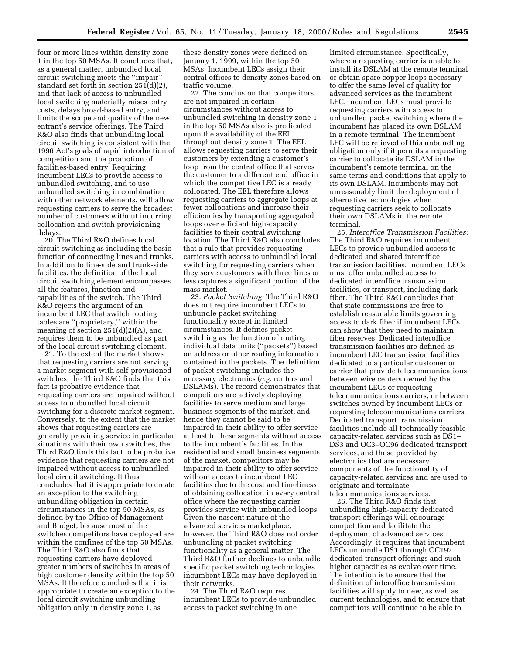four or more lines within density zone 1 in the top 50 MSAs. It concludes that, as a general matter, unbundled local circuit switching meets the ''impair'' standard set forth in section  $251(d)(2)$ , and that lack of access to unbundled local switching materially raises entry costs, delays broad-based entry, and limits the scope and quality of the new entrant's service offerings. The Third R&O also finds that unbundling local circuit switching is consistent with the 1996 Act's goals of rapid introduction of competition and the promotion of facilities-based entry. Requiring incumbent LECs to provide access to unbundled switching, and to use unbundled switching in combination with other network elements, will allow requesting carriers to serve the broadest number of customers without incurring collocation and switch provisioning delays.

20. The Third R&O defines local circuit switching as including the basic function of connecting lines and trunks. In addition to line-side and trunk-side facilities, the definition of the local circuit switching element encompasses all the features, function and capabilities of the switch. The Third R&O rejects the argument of an incumbent LEC that switch routing tables are ''proprietary,'' within the meaning of section  $251(d)(2)(A)$ , and requires them to be unbundled as part of the local circuit switching element.

21. To the extent the market shows that requesting carriers are not serving a market segment with self-provisioned switches, the Third R&O finds that this fact is probative evidence that requesting carriers are impaired without access to unbundled local circuit switching for a discrete market segment. Conversely, to the extent that the market shows that requesting carriers are generally providing service in particular situations with their own switches, the Third R&O finds this fact to be probative evidence that requesting carriers are not impaired without access to unbundled local circuit switching. It thus concludes that it is appropriate to create an exception to the switching unbundling obligation in certain circumstances in the top 50 MSAs, as defined by the Office of Management and Budget, because most of the switches competitors have deployed are within the confines of the top 50 MSAs. The Third R&O also finds that requesting carriers have deployed greater numbers of switches in areas of high customer density within the top 50 MSAs. It therefore concludes that it is appropriate to create an exception to the local circuit switching unbundling obligation only in density zone 1, as

these density zones were defined on January 1, 1999, within the top 50 MSAs. Incumbent LECs assign their central offices to density zones based on traffic volume.

22. The conclusion that competitors are not impaired in certain circumstances without access to unbundled switching in density zone 1 in the top 50 MSAs also is predicated upon the availability of the EEL throughout density zone 1. The EEL allows requesting carriers to serve their customers by extending a customer's loop from the central office that serves the customer to a different end office in which the competitive LEC is already collocated. The EEL therefore allows requesting carriers to aggregate loops at fewer collocations and increase their efficiencies by transporting aggregated loops over efficient high-capacity facilities to their central switching location. The Third R&O also concludes that a rule that provides requesting carriers with access to unbundled local switching for requesting carriers when they serve customers with three lines or less captures a significant portion of the mass market.

23. *Packet Switching:* The Third R&O does not require incumbent LECs to unbundle packet switching functionality except in limited circumstances. It defines packet switching as the function of routing individual data units (''packets'') based on address or other routing information contained in the packets. The definition of packet switching includes the necessary electronics (*e.g.* routers and DSLAMs). The record demonstrates that competitors are actively deploying facilities to serve medium and large business segments of the market, and hence they cannot be said to be impaired in their ability to offer service at least to these segments without access to the incumbent's facilities. In the residential and small business segments of the market, competitors may be impaired in their ability to offer service without access to incumbent LEC facilities due to the cost and timeliness of obtaining collocation in every central office where the requesting carrier provides service with unbundled loops. Given the nascent nature of the advanced services marketplace, however, the Third R&O does not order unbundling of packet switching functionality as a general matter. The Third R&O further declines to unbundle specific packet switching technologies incumbent LECs may have deployed in their networks.

24. The Third R&O requires incumbent LECs to provide unbundled access to packet switching in one

limited circumstance. Specifically, where a requesting carrier is unable to install its DSLAM at the remote terminal or obtain spare copper loops necessary to offer the same level of quality for advanced services as the incumbent LEC, incumbent LECs must provide requesting carriers with access to unbundled packet switching where the incumbent has placed its own DSLAM in a remote terminal. The incumbent LEC will be relieved of this unbundling obligation only if it permits a requesting carrier to collocate its DSLAM in the incumbent's remote terminal on the same terms and conditions that apply to its own DSLAM. Incumbents may not unreasonably limit the deployment of alternative technologies when requesting carriers seek to collocate their own DSLAMs in the remote terminal.

25. *Interoffice Transmission Facilities:* The Third R&O requires incumbent LECs to provide unbundled access to dedicated and shared interoffice transmission facilities. Incumbent LECs must offer unbundled access to dedicated interoffice transmission facilities, or transport, including dark fiber. The Third R&O concludes that that state commissions are free to establish reasonable limits governing access to dark fiber if incumbent LECs can show that they need to maintain fiber reserves. Dedicated interoffice transmission facilities are defined as incumbent LEC transmission facilities dedicated to a particular customer or carrier that provide telecommunications between wire centers owned by the incumbent LECs or requesting telecommunications carriers, or between switches owned by incumbent LECs or requesting telecommunications carriers. Dedicated transport transmission facilities include all technically feasible capacity-related services such as DS1– DS3 and OC3–OC96 dedicated transport services, and those provided by electronics that are necessary components of the functionality of capacity-related services and are used to originate and terminate telecommunications services.

26. The Third R&O finds that unbundling high-capacity dedicated transport offerings will encourage competition and facilitate the deployment of advanced services. Accordingly, it requires that incumbent LECs unbundle DS1 through OC192 dedicated transport offerings and such higher capacities as evolve over time. The intention is to ensure that the definition of interoffice transmission facilities will apply to new, as well as current technologies, and to ensure that competitors will continue to be able to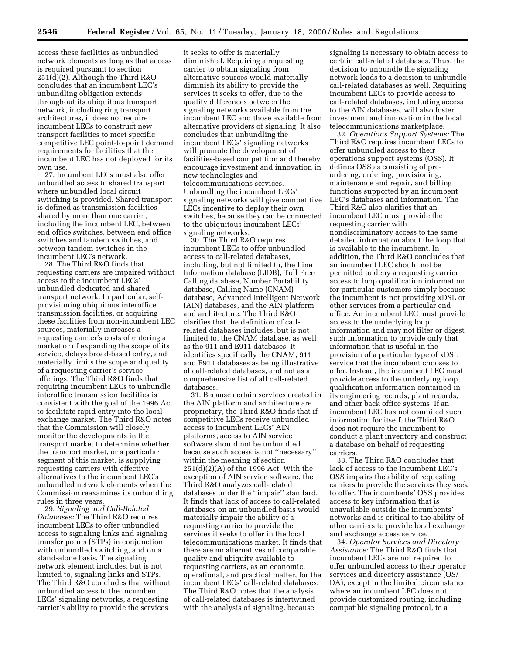access these facilities as unbundled network elements as long as that access is required pursuant to section 251(d)(2). Although the Third R&O concludes that an incumbent LEC's unbundling obligation extends throughout its ubiquitous transport network, including ring transport architectures, it does not require incumbent LECs to construct new transport facilities to meet specific competitive LEC point-to-point demand requirements for facilities that the incumbent LEC has not deployed for its own use.

27. Incumbent LECs must also offer unbundled access to shared transport where unbundled local circuit switching is provided. Shared transport is defined as transmission facilities shared by more than one carrier, including the incumbent LEC, between end office switches, between end office switches and tandem switches, and between tandem switches in the incumbent LEC's network.

28. The Third R&O finds that requesting carriers are impaired without access to the incumbent LECs' unbundled dedicated and shared transport network. In particular, selfprovisioning ubiquitous interoffice transmission facilities, or acquiring these facilities from non-incumbent LEC sources, materially increases a requesting carrier's costs of entering a market or of expanding the scope of its service, delays broad-based entry, and materially limits the scope and quality of a requesting carrier's service offerings. The Third R&O finds that requiring incumbent LECs to unbundle interoffice transmission facilities is consistent with the goal of the 1996 Act to facilitate rapid entry into the local exchange market. The Third R&O notes that the Commission will closely monitor the developments in the transport market to determine whether the transport market, or a particular segment of this market, is supplying requesting carriers with effective alternatives to the incumbent LEC's unbundled network elements when the Commission reexamines its unbundling rules in three years.

29. *Signaling and Call-Related Databases:* The Third R&O requires incumbent LECs to offer unbundled access to signaling links and signaling transfer points (STPs) in conjunction with unbundled switching, and on a stand-alone basis. The signaling network element includes, but is not limited to, signaling links and STPs. The Third R&O concludes that without unbundled access to the incumbent LECs' signaling networks, a requesting carrier's ability to provide the services

it seeks to offer is materially diminished. Requiring a requesting carrier to obtain signaling from alternative sources would materially diminish its ability to provide the services it seeks to offer, due to the quality differences between the signaling networks available from the incumbent LEC and those available from alternative providers of signaling. It also concludes that unbundling the incumbent LECs' signaling networks will promote the development of facilities-based competition and thereby encourage investment and innovation in new technologies and telecommunications services. Unbundling the incumbent LECs' signaling networks will give competitive LECs incentive to deploy their own switches, because they can be connected to the ubiquitous incumbent LECs' signaling networks.

30. The Third R&O requires incumbent LECs to offer unbundled access to call-related databases, including, but not limited to, the Line Information database (LIDB), Toll Free Calling database, Number Portability database, Calling Name (CNAM) database, Advanced Intelligent Network (AIN) databases, and the AIN platform and architecture. The Third R&O clarifies that the definition of callrelated databases includes, but is not limited to, the CNAM database, as well as the 911 and E911 databases. It identifies specifically the CNAM, 911 and E911 databases as being illustrative of call-related databases, and not as a comprehensive list of all call-related databases.

31. Because certain services created in the AIN platform and architecture are proprietary, the Third R&O finds that if competitive LECs receive unbundled access to incumbent LECs' AIN platforms, access to AIN service software should not be unbundled because such access is not ''necessary'' within the meaning of section 251(d)(2)(A) of the 1996 Act. With the exception of AIN service software, the Third R&O analyzes call-related databases under the ''impair'' standard. It finds that lack of access to call-related databases on an unbundled basis would materially impair the ability of a requesting carrier to provide the services it seeks to offer in the local telecommunications market. It finds that there are no alternatives of comparable quality and ubiquity available to requesting carriers, as an economic, operational, and practical matter, for the incumbent LECs' call-related databases. The Third R&O notes that the analysis of call-related databases is intertwined with the analysis of signaling, because

signaling is necessary to obtain access to certain call-related databases. Thus, the decision to unbundle the signaling network leads to a decision to unbundle call-related databases as well. Requiring incumbent LECs to provide access to call-related databases, including access to the AIN databases, will also foster investment and innovation in the local telecommunications marketplace.

32. *Operations Support Systems:* The Third R&O requires incumbent LECs to offer unbundled access to their operations support systems (OSS). It defines OSS as consisting of preordering, ordering, provisioning, maintenance and repair, and billing functions supported by an incumbent LEC's databases and information. The Third R&O also clarifies that an incumbent LEC must provide the requesting carrier with nondiscriminatory access to the same detailed information about the loop that is available to the incumbent. In addition, the Third R&O concludes that an incumbent LEC should not be permitted to deny a requesting carrier access to loop qualification information for particular customers simply because the incumbent is not providing xDSL or other services from a particular end office. An incumbent LEC must provide access to the underlying loop information and may not filter or digest such information to provide only that information that is useful in the provision of a particular type of xDSL service that the incumbent chooses to offer. Instead, the incumbent LEC must provide access to the underlying loop qualification information contained in its engineering records, plant records, and other back office systems. If an incumbent LEC has not compiled such information for itself, the Third R&O does not require the incumbent to conduct a plant inventory and construct a database on behalf of requesting carriers.

33. The Third R&O concludes that lack of access to the incumbent LEC's OSS impairs the ability of requesting carriers to provide the services they seek to offer. The incumbents' OSS provides access to key information that is unavailable outside the incumbents' networks and is critical to the ability of other carriers to provide local exchange and exchange access service.

34. *Operator Services and Directory Assistance:* The Third R&O finds that incumbent LECs are not required to offer unbundled access to their operator services and directory assistance (OS/ DA), except in the limited circumstance where an incumbent LEC does not provide customized routing, including compatible signaling protocol, to a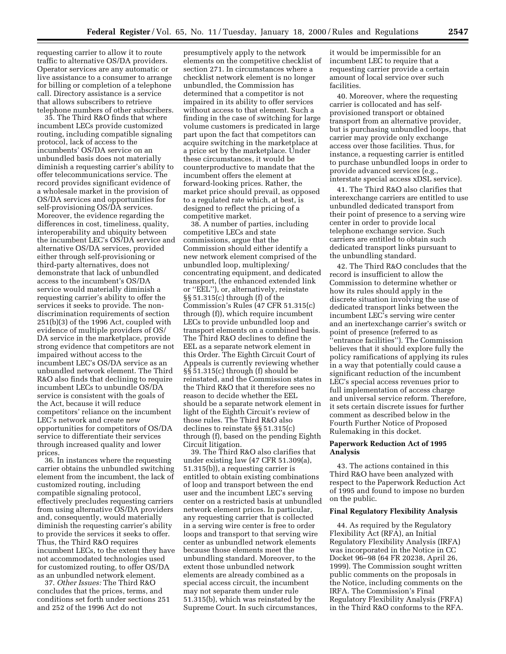requesting carrier to allow it to route traffic to alternative OS/DA providers. Operator services are any automatic or live assistance to a consumer to arrange for billing or completion of a telephone call. Directory assistance is a service that allows subscribers to retrieve telephone numbers of other subscribers.

35. The Third R&O finds that where incumbent LECs provide customized routing, including compatible signaling protocol, lack of access to the incumbents' OS/DA service on an unbundled basis does not materially diminish a requesting carrier's ability to offer telecommunications service. The record provides significant evidence of a wholesale market in the provision of OS/DA services and opportunities for self-provisioning OS/DA services. Moreover, the evidence regarding the differences in cost, timeliness, quality, interoperability and ubiquity between the incumbent LEC's OS/DA service and alternative OS/DA services, provided either through self-provisioning or third-party alternatives, does not demonstrate that lack of unbundled access to the incumbent's OS/DA service would materially diminish a requesting carrier's ability to offer the services it seeks to provide. The nondiscrimination requirements of section 251(b)(3) of the 1996 Act, coupled with evidence of multiple providers of OS/ DA service in the marketplace, provide strong evidence that competitors are not impaired without access to the incumbent LEC's OS/DA service as an unbundled network element. The Third R&O also finds that declining to require incumbent LECs to unbundle OS/DA service is consistent with the goals of the Act, because it will reduce competitors' reliance on the incumbent LEC's network and create new opportunities for competitors of OS/DA service to differentiate their services through increased quality and lower prices.

36. In instances where the requesting carrier obtains the unbundled switching element from the incumbent, the lack of customized routing, including compatible signaling protocol, effectively precludes requesting carriers from using alternative OS/DA providers and, consequently, would materially diminish the requesting carrier's ability to provide the services it seeks to offer. Thus, the Third R&O requires incumbent LECs, to the extent they have not accommodated technologies used for customized routing, to offer OS/DA as an unbundled network element.

37. *Other Issues:* The Third R&O concludes that the prices, terms, and conditions set forth under sections 251 and 252 of the 1996 Act do not

presumptively apply to the network elements on the competitive checklist of section 271. In circumstances where a checklist network element is no longer unbundled, the Commission has determined that a competitor is not impaired in its ability to offer services without access to that element. Such a finding in the case of switching for large volume customers is predicated in large part upon the fact that competitors can acquire switching in the marketplace at a price set by the marketplace. Under these circumstances, it would be counterproductive to mandate that the incumbent offers the element at forward-looking prices. Rather, the market price should prevail, as opposed to a regulated rate which, at best, is designed to reflect the pricing of a competitive market.

38. A number of parties, including competitive LECs and state commissions, argue that the Commission should either identify a new network element comprised of the unbundled loop, multiplexing/ concentrating equipment, and dedicated transport, (the enhanced extended link or ''EEL''), or, alternatively, reinstate §§ 51.315(c) through (f) of the Commission's Rules (47 CFR 51.315(c) through (f)), which require incumbent LECs to provide unbundled loop and transport elements on a combined basis. The Third R&O declines to define the EEL as a separate network element in this Order. The Eighth Circuit Court of Appeals is currently reviewing whether §§ 51.315(c) through (f) should be reinstated, and the Commission states in the Third R&O that it therefore sees no reason to decide whether the EEL should be a separate network element in light of the Eighth Circuit's review of those rules. The Third R&O also declines to reinstate §§ 51.315(c) through (f), based on the pending Eighth Circuit litigation.

39. The Third R&O also clarifies that under existing law (47 CFR 51.309(a), 51.315(b)), a requesting carrier is entitled to obtain existing combinations of loop and transport between the end user and the incumbent LEC's serving center on a restricted basis at unbundled network element prices. In particular, any requesting carrier that is collected in a serving wire center is free to order loops and transport to that serving wire center as unbundled network elements because those elements meet the unbundling standard. Moreover, to the extent those unbundled network elements are already combined as a special access circuit, the incumbent may not separate them under rule 51.315(b), which was reinstated by the Supreme Court. In such circumstances,

it would be impermissible for an incumbent LEC to require that a requesting carrier provide a certain amount of local service over such facilities.

40. Moreover, where the requesting carrier is collocated and has selfprovisioned transport or obtained transport from an alternative provider, but is purchasing unbundled loops, that carrier may provide only exchange access over those facilities. Thus, for instance, a requesting carrier is entitled to purchase unbundled loops in order to provide advanced services (e.g., interstate special access xDSL service).

41. The Third R&O also clarifies that interexchange carriers are entitled to use unbundled dedicated transport from their point of presence to a serving wire center in order to provide local telephone exchange service. Such carriers are entitled to obtain such dedicated transport links pursuant to the unbundling standard.

42. The Third R&O concludes that the record is insufficient to allow the Commission to determine whether or how its rules should apply in the discrete situation involving the use of dedicated transport links between the incumbent LEC's serving wire center and an inertexchange carrier's switch or point of presence (referred to as 'entrance facilities''). The Commission believes that it should explore fully the policy ramifications of applying its rules in a way that potentially could cause a significant reduction of the incumbent LEC's special access revenues prior to full implementation of access charge and universal service reform. Therefore, it sets certain discrete issues for further comment as described below in the Fourth Further Notice of Proposed Rulemaking in this docket.

## **Paperwork Reduction Act of 1995 Analysis**

43. The actions contained in this Third R&O have been analyzed with respect to the Paperwork Reduction Act of 1995 and found to impose no burden on the public.

#### **Final Regulatory Flexibility Analysis**

44. As required by the Regulatory Flexibility Act (RFA), an Initial Regulatory Flexibility Analysis (IRFA) was incorporated in the Notice in CC Docket 96–98 (64 FR 20238, April 26, 1999). The Commission sought written public comments on the proposals in the Notice, including comments on the IRFA. The Commission's Final Regulatory Flexibility Analysis (FRFA) in the Third R&O conforms to the RFA.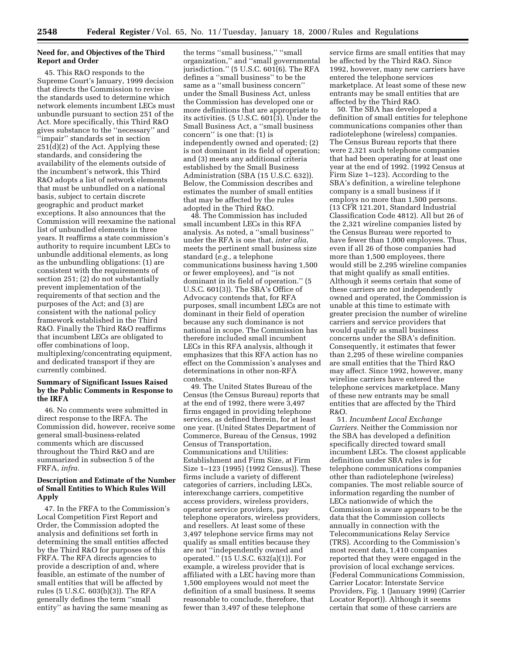# **Need for, and Objectives of the Third Report and Order**

45. This R&O responds to the Supreme Court's January, 1999 decision that directs the Commission to revise the standards used to determine which network elements incumbent LECs must unbundle pursuant to section 251 of the Act. More specifically, this Third R&O gives substance to the ''necessary'' and ''impair'' standards set in section  $251(d)(2)$  of the Act. Applying these standards, and considering the availability of the elements outside of the incumbent's network, this Third R&O adopts a list of network elements that must be unbundled on a national basis, subject to certain discrete geographic and product market exceptions. It also announces that the Commission will reexamine the national list of unbundled elements in three years. It reaffirms a state commission's authority to require incumbent LECs to unbundle additional elements, as long as the unbundling obligations: (1) are consistent with the requirements of section 251; (2) do not substantially prevent implementation of the requirements of that section and the purposes of the Act; and (3) are consistent with the national policy framework established in the Third R&O. Finally the Third R&O reaffirms that incumbent LECs are obligated to offer combinations of loop, multiplexing/concentrating equipment, and dedicated transport if they are currently combined.

# **Summary of Significant Issues Raised by the Public Comments in Response to the IRFA**

46. No comments were submitted in direct response to the IRFA. The Commission did, however, receive some general small-business-related comments which are discussed throughout the Third R&O and are summarized in subsection 5 of the FRFA, *infra.*

# **Description and Estimate of the Number of Small Entities to Which Rules Will Apply**

47. In the FRFA to the Commission's Local Competition First Report and Order, the Commission adopted the analysis and definitions set forth in determining the small entities affected by the Third R&O for purposes of this FRFA. The RFA directs agencies to provide a description of and, where feasible, an estimate of the number of small entities that will be affected by rules (5 U.S.C. 603(b)(3)). The RFA generally defines the term ''small entity'' as having the same meaning as

the terms ''small business,'' ''small organization,'' and ''small governmental jurisdiction.'' (5 U.S.C. 601(6). The RFA defines a ''small business'' to be the same as a ''small business concern'' under the Small Business Act, unless the Commission has developed one or more definitions that are appropriate to its activities.  $(5 \text{ U.S.C. } 601\overline{3})$ . Under the Small Business Act, a ''small business concern'' is one that: (1) is independently owned and operated; (2) is not dominant in its field of operation; and (3) meets any additional criteria established by the Small Business Administration (SBA (15 U.S.C. 632)). Below, the Commission describes and estimates the number of small entities that may be affected by the rules adopted in the Third R&O.

48. The Commission has included small incumbent LECs in this RFA analysis. As noted, a ''small business'' under the RFA is one that, *inter alia*, meets the pertinent small business size standard (*e.g.,* a telephone communications business having 1,500 or fewer employees), and ''is not dominant in its field of operation.'' (5 U.S.C. 601(3)). The SBA's Office of Advocacy contends that, for RFA purposes, small incumbent LECs are not dominant in their field of operation because any such dominance is not national in scope. The Commission has therefore included small incumbent LECs in this RFA analysis, although it emphasizes that this RFA action has no effect on the Commission's analyses and determinations in other non-RFA contexts.

49. The United States Bureau of the Census (the Census Bureau) reports that at the end of 1992, there were 3,497 firms engaged in providing telephone services, as defined therein, for at least one year. (United States Department of Commerce, Bureau of the Census, 1992 Census of Transportation, Communications and Utilities: Establishment and Firm Size, at Firm Size 1–123 (1995) (1992 Census)). These firms include a variety of different categories of carriers, including LECs, interexchange carriers, competitive access providers, wireless providers, operator service providers, pay telephone operators, wireless providers, and resellers. At least some of these 3,497 telephone service firms may not qualify as small entities because they are not ''independently owned and operated.'' (15 U.S.C. 632(a)(1)). For example, a wireless provider that is affiliated with a LEC having more than 1,500 employees would not meet the definition of a small business. It seems reasonable to conclude, therefore, that fewer than 3,497 of these telephone

service firms are small entities that may be affected by the Third R&O. Since 1992, however, many new carriers have entered the telephone services marketplace. At least some of these new entrants may be small entities that are affected by the Third R&O.

50. The SBA has developed a definition of small entities for telephone communications companies other than radiotelephone (wireless) companies. The Census Bureau reports that there were 2,321 such telephone companies that had been operating for at least one year at the end of 1992. (1992 Census at Firm Size 1–123). According to the SBA's definition, a wireline telephone company is a small business if it employs no more than 1,500 persons. (13 CFR 121.201, Standard Industrial Classification Code 4812). All but 26 of the 2,321 wireline companies listed by the Census Bureau were reported to have fewer than 1,000 employees. Thus, even if all 26 of those companies had more than 1,500 employees, there would still be 2,295 wireline companies that might qualify as small entities. Although it seems certain that some of these carriers are not independently owned and operated, the Commission is unable at this time to estimate with greater precision the number of wireline carriers and service providers that would qualify as small business concerns under the SBA's definition. Consequently, it estimates that fewer than 2,295 of these wireline companies are small entities that the Third R&O may affect. Since 1992, however, many wireline carriers have entered the telephone services marketplace. Many of these new entrants may be small entities that are affected by the Third R&O.

51. *Incumbent Local Exchange Carriers.* Neither the Commission nor the SBA has developed a definition specifically directed toward small incumbent LECs. The closest applicable definition under SBA rules is for telephone communications companies other than radiotelephone (wireless) companies. The most reliable source of information regarding the number of LECs nationwide of which the Commission is aware appears to be the data that the Commission collects annually in connection with the Telecommunications Relay Service (TRS). According to the Commission's most recent data, 1,410 companies reported that they were engaged in the provision of local exchange services. (Federal Communications Commission, Carrier Locator: Interstate Service Providers, Fig. 1 (January 1999) (Carrier Locator Report)). Although it seems certain that some of these carriers are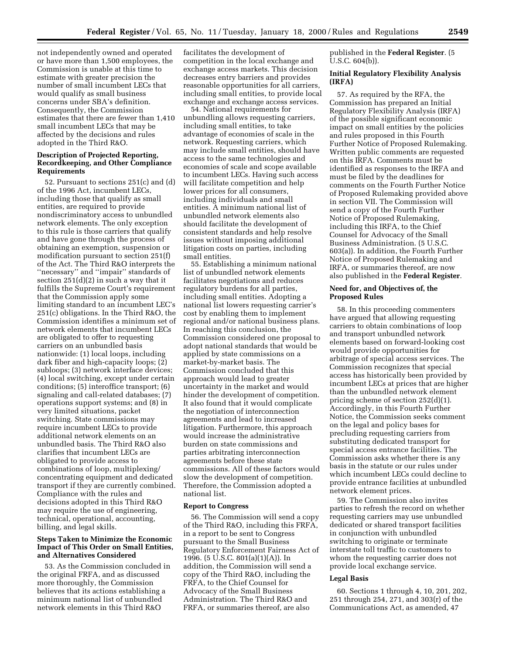not independently owned and operated or have more than 1,500 employees, the Commission is unable at this time to estimate with greater precision the number of small incumbent LECs that would qualify as small business concerns under SBA's definition. Consequently, the Commission estimates that there are fewer than 1,410 small incumbent LECs that may be affected by the decisions and rules adopted in the Third R&O.

# **Description of Projected Reporting, Recordkeeping, and Other Compliance Requirements**

52. Pursuant to sections 251(c) and (d) of the 1996 Act, incumbent LECs, including those that qualify as small entities, are required to provide nondiscriminatory access to unbundled network elements. The only exception to this rule is those carriers that qualify and have gone through the process of obtaining an exemption, suspension or modification pursuant to section 251(f) of the Act. The Third R&O interprets the ''necessary'' and ''impair'' standards of section 251(d)(2) in such a way that it fulfills the Supreme Court's requirement that the Commission apply some limiting standard to an incumbent LEC's 251(c) obligations. In the Third R&O, the Commission identifies a minimum set of network elements that incumbent LECs are obligated to offer to requesting carriers on an unbundled basis nationwide: (1) local loops, including dark fiber and high-capacity loops; (2) subloops; (3) network interface devices; (4) local switching, except under certain conditions; (5) interoffice transport; (6) signaling and call-related databases; (7) operations support systems; and (8) in very limited situations, packet switching. State commissions may require incumbent LECs to provide additional network elements on an unbundled basis. The Third R&O also clarifies that incumbent LECs are obligated to provide access to combinations of loop, multiplexing/ concentrating equipment and dedicated transport if they are currently combined. Compliance with the rules and decisions adopted in this Third R&O may require the use of engineering, technical, operational, accounting, billing, and legal skills.

# **Steps Taken to Minimize the Economic Impact of This Order on Small Entities, and Alternatives Considered**

53. As the Commission concluded in the original FRFA, and as discussed more thoroughly, the Commission believes that its actions establishing a minimum national list of unbundled network elements in this Third R&O

facilitates the development of competition in the local exchange and exchange access markets. This decision decreases entry barriers and provides reasonable opportunities for all carriers, including small entities, to provide local exchange and exchange access services.

54. National requirements for unbundling allows requesting carriers, including small entities, to take advantage of economies of scale in the network. Requesting carriers, which may include small entities, should have access to the same technologies and economies of scale and scope available to incumbent LECs. Having such access will facilitate competition and help lower prices for all consumers, including individuals and small entities. A minimum national list of unbundled network elements also should facilitate the development of consistent standards and help resolve issues without imposing additional litigation costs on parties, including small entities.

55. Establishing a minimum national list of unbundled network elements facilitates negotiations and reduces regulatory burdens for all parties, including small entities. Adopting a national list lowers requesting carrier's cost by enabling them to implement regional and/or national business plans. In reaching this conclusion, the Commission considered one proposal to adopt national standards that would be applied by state commissions on a market-by-market basis. The Commission concluded that this approach would lead to greater uncertainty in the market and would hinder the development of competition. It also found that it would complicate the negotiation of interconnection agreements and lead to increased litigation. Furthermore, this approach would increase the administrative burden on state commissions and parties arbitrating interconnection agreements before these state commissions. All of these factors would slow the development of competition. Therefore, the Commission adopted a national list.

#### **Report to Congress**

56. The Commission will send a copy of the Third R&O, including this FRFA, in a report to be sent to Congress pursuant to the Small Business Regulatory Enforcement Fairness Act of 1996. (5 U.S.C. 801(a)(1)(A)). In addition, the Commission will send a copy of the Third R&O, including the FRFA, to the Chief Counsel for Advocacy of the Small Business Administration. The Third R&O and FRFA, or summaries thereof, are also

published in the **Federal Register**. (5 U.S.C. 604(b)).

## **Initial Regulatory Flexibility Analysis (IRFA)**

57. As required by the RFA, the Commission has prepared an Initial Regulatory Flexibility Analysis (IRFA) of the possible significant economic impact on small entities by the policies and rules proposed in this Fourth Further Notice of Proposed Rulemaking. Written public comments are requested on this IRFA. Comments must be identified as responses to the IRFA and must be filed by the deadlines for comments on the Fourth Further Notice of Proposed Rulemaking provided above in section VII. The Commission will send a copy of the Fourth Further Notice of Proposed Rulemaking, including this IRFA, to the Chief Counsel for Advocacy of the Small Business Administration. (5 U.S.C. 603(a)). In addition, the Fourth Further Notice of Proposed Rulemaking and IRFA, or summaries thereof, are now also published in the **Federal Register**.

### **Need for, and Objectives of, the Proposed Rules**

58. In this proceeding commenters have argued that allowing requesting carriers to obtain combinations of loop and transport unbundled network elements based on forward-looking cost would provide opportunities for arbitrage of special access services. The Commission recognizes that special access has historically been provided by incumbent LECs at prices that are higher than the unbundled network element pricing scheme of section 252(d)(1). Accordingly, in this Fourth Further Notice, the Commission seeks comment on the legal and policy bases for precluding requesting carriers from substituting dedicated transport for special access entrance facilities. The Commission asks whether there is any basis in the statute or our rules under which incumbent LECs could decline to provide entrance facilities at unbundled network element prices.

59. The Commission also invites parties to refresh the record on whether requesting carriers may use unbundled dedicated or shared transport facilities in conjunction with unbundled switching to originate or terminate interstate toll traffic to customers to whom the requesting carrier does not provide local exchange service.

#### **Legal Basis**

60. Sections 1 through 4, 10, 201, 202, 251 through 254, 271, and 303(r) of the Communications Act, as amended, 47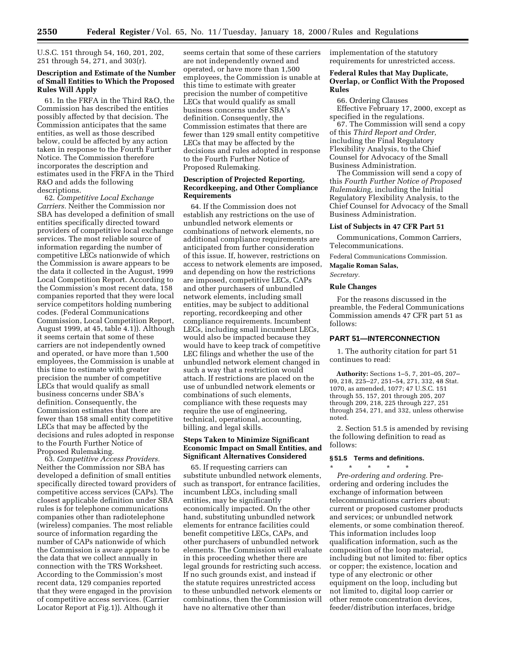U.S.C. 151 through 54, 160, 201, 202, 251 through 54, 271, and 303(r).

# **Description and Estimate of the Number of Small Entities to Which the Proposed Rules Will Apply**

61. In the FRFA in the Third R&O, the Commission has described the entities possibly affected by that decision. The Commission anticipates that the same entities, as well as those described below, could be affected by any action taken in response to the Fourth Further Notice. The Commission therefore incorporates the description and estimates used in the FRFA in the Third R&O and adds the following descriptions.

62. *Competitive Local Exchange Carriers.* Neither the Commission nor SBA has developed a definition of small entities specifically directed toward providers of competitive local exchange services. The most reliable source of information regarding the number of competitive LECs nationwide of which the Commission is aware appears to be the data it collected in the August, 1999 Local Competition Report. According to the Commission's most recent data, 158 companies reported that they were local service competitors holding numbering codes. (Federal Communications Commission, Local Competition Report, August 1999, at 45, table 4.1)). Although it seems certain that some of these carriers are not independently owned and operated, or have more than 1,500 employees, the Commission is unable at this time to estimate with greater precision the number of competitive LECs that would qualify as small business concerns under SBA's definition. Consequently, the Commission estimates that there are fewer than 158 small entity competitive LECs that may be affected by the decisions and rules adopted in response to the Fourth Further Notice of Proposed Rulemaking.

63. *Competitive Access Providers.* Neither the Commission nor SBA has developed a definition of small entities specifically directed toward providers of competitive access services (CAPs). The closest applicable definition under SBA rules is for telephone communications companies other than radiotelephone (wireless) companies. The most reliable source of information regarding the number of CAPs nationwide of which the Commission is aware appears to be the data that we collect annually in connection with the TRS Worksheet. According to the Commission's most recent data, 129 companies reported that they were engaged in the provision of competitive access services. (Carrier Locator Report at Fig.1)). Although it

seems certain that some of these carriers are not independently owned and operated, or have more than 1,500 employees, the Commission is unable at this time to estimate with greater precision the number of competitive LECs that would qualify as small business concerns under SBA's definition. Consequently, the Commission estimates that there are fewer than 129 small entity competitive LECs that may be affected by the decisions and rules adopted in response to the Fourth Further Notice of Proposed Rulemaking.

# **Description of Projected Reporting, Recordkeeping, and Other Compliance Requirements**

64. If the Commission does not establish any restrictions on the use of unbundled network elements or combinations of network elements, no additional compliance requirements are anticipated from further consideration of this issue. If, however, restrictions on access to network elements are imposed, and depending on how the restrictions are imposed, competitive LECs, CAPs and other purchasers of unbundled network elements, including small entities, may be subject to additional reporting, recordkeeping and other compliance requirements. Incumbent LECs, including small incumbent LECs, would also be impacted because they would have to keep track of competitive LEC filings and whether the use of the unbundled network element changed in such a way that a restriction would attach. If restrictions are placed on the use of unbundled network elements or combinations of such elements, compliance with these requests may require the use of engineering, technical, operational, accounting, billing, and legal skills.

## **Steps Taken to Minimize Significant Economic Impact on Small Entities, and Significant Alternatives Considered**

65. If requesting carriers can substitute unbundled network elements, such as transport, for entrance facilities, incumbent LECs, including small entities, may be significantly economically impacted. On the other hand, substituting unbundled network elements for entrance facilities could benefit competitive LECs, CAPs, and other purchasers of unbundled network elements. The Commission will evaluate in this proceeding whether there are legal grounds for restricting such access. If no such grounds exist, and instead if the statute requires unrestricted access to these unbundled network elements or combinations, then the Commission will have no alternative other than

implementation of the statutory requirements for unrestricted access.

## **Federal Rules that May Duplicate, Overlap, or Conflict With the Proposed Rules**

66. Ordering Clauses Effective February 17, 2000, except as specified in the regulations.

67. The Commission will send a copy of this *Third Report and Order,* including the Final Regulatory Flexibility Analysis, to the Chief Counsel for Advocacy of the Small Business Administration.

The Commission will send a copy of this *Fourth Further Notice of Proposed Rulemaking,* including the Initial Regulatory Flexibility Analysis, to the Chief Counsel for Advocacy of the Small Business Administration.

#### **List of Subjects in 47 CFR Part 51**

Communications, Common Carriers, Telecommunications.

Federal Communications Commission.

#### **Magalie Roman Salas,**

*Secretary.*

# **Rule Changes**

For the reasons discussed in the preamble, the Federal Communications Commission amends 47 CFR part 51 as follows:

# **PART 51—INTERCONNECTION**

1. The authority citation for part 51 continues to read:

**Authority:** Sections 1–5, 7, 201–05, 207– 09, 218, 225–27, 251–54, 271, 332, 48 Stat. 1070, as amended, 1077; 47 U.S.C. 151 through 55, 157, 201 through 205, 207 through 209, 218, 225 through 227, 251 through 254, 271, and 332, unless otherwise noted.

2. Section 51.5 is amended by revising the following definition to read as follows:

#### **§ 51.5 Terms and definitions.**

\* \* \* \* \* *Pre-ordering and ordering.* Preordering and ordering includes the exchange of information between telecommunications carriers about: current or proposed customer products and services; or unbundled network elements, or some combination thereof. This information includes loop qualification information, such as the composition of the loop material, including but not limited to: fiber optics or copper; the existence, location and type of any electronic or other equipment on the loop, including but not limited to, digital loop carrier or other remote concentration devices, feeder/distribution interfaces, bridge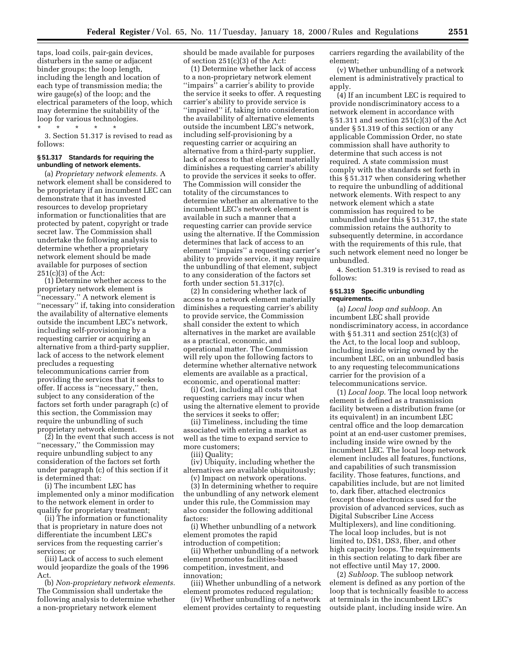taps, load coils, pair-gain devices, disturbers in the same or adjacent binder groups; the loop length, including the length and location of each type of transmission media; the wire gauge(s) of the loop; and the electrical parameters of the loop, which may determine the suitability of the loop for various technologies.

\* \* \* \* \* 3. Section 51.317 is revised to read as follows:

#### **§ 51.317 Standards for requiring the unbundling of network elements.**

(a) *Proprietary network elements.* A network element shall be considered to be proprietary if an incumbent LEC can demonstrate that it has invested resources to develop proprietary information or functionalities that are protected by patent, copyright or trade secret law. The Commission shall undertake the following analysis to determine whether a proprietary network element should be made available for purposes of section 251(c)(3) of the Act:

(1) Determine whether access to the proprietary network element is ''necessary.'' A network element is "necessary" if, taking into consideration the availability of alternative elements outside the incumbent LEC's network, including self-provisioning by a requesting carrier or acquiring an alternative from a third-party supplier, lack of access to the network element precludes a requesting telecommunications carrier from providing the services that it seeks to offer. If access is ''necessary,'' then, subject to any consideration of the factors set forth under paragraph (c) of this section, the Commission may require the unbundling of such proprietary network element.

(2) In the event that such access is not ''necessary,'' the Commission may require unbundling subject to any consideration of the factors set forth under paragraph (c) of this section if it is determined that:

(i) The incumbent LEC has implemented only a minor modification to the network element in order to qualify for proprietary treatment;

(ii) The information or functionality that is proprietary in nature does not differentiate the incumbent LEC's services from the requesting carrier's services; or

(iii) Lack of access to such element would jeopardize the goals of the 1996 Act.

(b) *Non-proprietary network elements.* The Commission shall undertake the following analysis to determine whether a non-proprietary network element

should be made available for purposes of section 251(c)(3) of the Act:

(1) Determine whether lack of access to a non-proprietary network element "impairs" a carrier's ability to provide the service it seeks to offer. A requesting carrier's ability to provide service is ''impaired'' if, taking into consideration the availability of alternative elements outside the incumbent LEC's network, including self-provisioning by a requesting carrier or acquiring an alternative from a third-party supplier, lack of access to that element materially diminishes a requesting carrier's ability to provide the services it seeks to offer. The Commission will consider the totality of the circumstances to determine whether an alternative to the incumbent LEC's network element is available in such a manner that a requesting carrier can provide service using the alternative. If the Commission determines that lack of access to an element ''impairs'' a requesting carrier's ability to provide service, it may require the unbundling of that element, subject to any consideration of the factors set forth under section 51.317(c).

(2) In considering whether lack of access to a network element materially diminishes a requesting carrier's ability to provide service, the Commission shall consider the extent to which alternatives in the market are available as a practical, economic, and operational matter. The Commission will rely upon the following factors to determine whether alternative network elements are available as a practical, economic, and operational matter:

(i) Cost, including all costs that requesting carriers may incur when using the alternative element to provide the services it seeks to offer;

(ii) Timeliness, including the time associated with entering a market as well as the time to expand service to more customers;

(iii) Quality;

(iv) Ubiquity, including whether the alternatives are available ubiquitously;

(v) Impact on network operations. (3) In determining whether to require the unbundling of any network element under this rule, the Commission may also consider the following additional factors:

(i) Whether unbundling of a network element promotes the rapid introduction of competition;

(ii) Whether unbundling of a network element promotes facilities-based competition, investment, and innovation;

(iii) Whether unbundling of a network element promotes reduced regulation;

(iv) Whether unbundling of a network element provides certainty to requesting carriers regarding the availability of the element;

(v) Whether unbundling of a network element is administratively practical to apply.

(4) If an incumbent LEC is required to provide nondiscriminatory access to a network element in accordance with § 51.311 and section 251(c)(3) of the Act under § 51.319 of this section or any applicable Commission Order, no state commission shall have authority to determine that such access is not required. A state commission must comply with the standards set forth in this § 51.317 when considering whether to require the unbundling of additional network elements. With respect to any network element which a state commission has required to be unbundled under this § 51.317, the state commission retains the authority to subsequently determine, in accordance with the requirements of this rule, that such network element need no longer be unbundled.

4. Section 51.319 is revised to read as follows:

#### **§ 51.319 Specific unbundling requirements.**

(a) *Local loop and subloop.* An incumbent LEC shall provide nondiscriminatory access, in accordance with  $\S 51.311$  and section  $251(c)(3)$  of the Act, to the local loop and subloop, including inside wiring owned by the incumbent LEC, on an unbundled basis to any requesting telecommunications carrier for the provision of a telecommunications service.

(1) *Local loop.* The local loop network element is defined as a transmission facility between a distribution frame (or its equivalent) in an incumbent LEC central office and the loop demarcation point at an end-user customer premises, including inside wire owned by the incumbent LEC. The local loop network element includes all features, functions, and capabilities of such transmission facility. Those features, functions, and capabilities include, but are not limited to, dark fiber, attached electronics (except those electronics used for the provision of advanced services, such as Digital Subscriber Line Access Multiplexers), and line conditioning. The local loop includes, but is not limited to, DS1, DS3, fiber, and other high capacity loops. The requirements in this section relating to dark fiber are not effective until May 17, 2000.

(2) *Subloop.* The subloop network element is defined as any portion of the loop that is technically feasible to access at terminals in the incumbent LEC's outside plant, including inside wire. An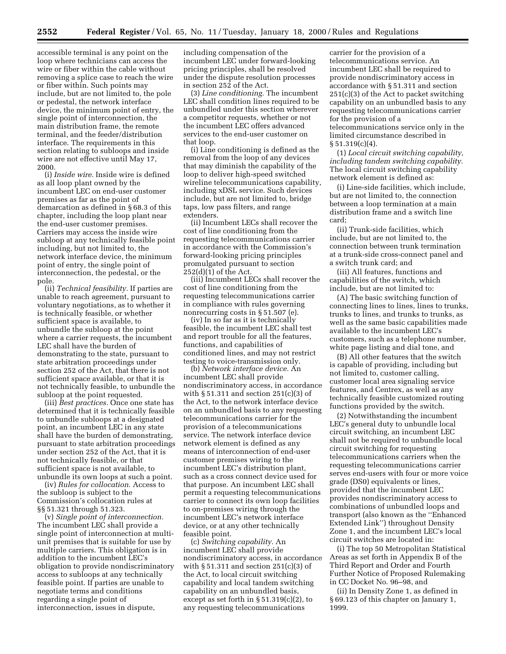accessible terminal is any point on the loop where technicians can access the wire or fiber within the cable without removing a splice case to reach the wire or fiber within. Such points may include, but are not limited to, the pole or pedestal, the network interface device, the minimum point of entry, the single point of interconnection, the main distribution frame, the remote terminal, and the feeder/distribution interface. The requirements in this section relating to subloops and inside wire are not effective until May 17, 2000.

(i) *Inside wire.* Inside wire is defined as all loop plant owned by the incumbent LEC on end-user customer premises as far as the point of demarcation as defined in § 68.3 of this chapter, including the loop plant near the end-user customer premises. Carriers may access the inside wire subloop at any technically feasible point including, but not limited to, the network interface device, the minimum point of entry, the single point of interconnection, the pedestal, or the pole.

(ii) *Technical feasibility.* If parties are unable to reach agreement, pursuant to voluntary negotiations, as to whether it is technically feasible, or whether sufficient space is available, to unbundle the subloop at the point where a carrier requests, the incumbent LEC shall have the burden of demonstrating to the state, pursuant to state arbitration proceedings under section 252 of the Act, that there is not sufficient space available, or that it is not technically feasible, to unbundle the subloop at the point requested.

(iii) *Best practices.* Once one state has determined that it is technically feasible to unbundle subloops at a designated point, an incumbent LEC in any state shall have the burden of demonstrating, pursuant to state arbitration proceedings under section 252 of the Act, that it is not technically feasible, or that sufficient space is not available, to unbundle its own loops at such a point.

(iv) *Rules for collocation.* Access to the subloop is subject to the Commission's collocation rules at §§ 51.321 through 51.323.

(v) *Single point of interconnection.* The incumbent LEC shall provide a single point of interconnection at multiunit premises that is suitable for use by multiple carriers. This obligation is in addition to the incumbent LEC's obligation to provide nondiscriminatory access to subloops at any technically feasible point. If parties are unable to negotiate terms and conditions regarding a single point of interconnection, issues in dispute,

including compensation of the incumbent LEC under forward-looking pricing principles, shall be resolved under the dispute resolution processes in section 252 of the Act.

(3) *Line conditioning.* The incumbent LEC shall condition lines required to be unbundled under this section wherever a competitor requests, whether or not the incumbent LEC offers advanced services to the end-user customer on that loop.

(i) Line conditioning is defined as the removal from the loop of any devices that may diminish the capability of the loop to deliver high-speed switched wireline telecommunications capability, including xDSL service. Such devices include, but are not limited to, bridge taps, low pass filters, and range extenders.

(ii) Incumbent LECs shall recover the cost of line conditioning from the requesting telecommunications carrier in accordance with the Commission's forward-looking pricing principles promulgated pursuant to section 252(d)(1) of the Act.

(iii) Incumbent LECs shall recover the cost of line conditioning from the requesting telecommunications carrier in compliance with rules governing nonrecurring costs in § 51.507 (e).

(iv) In so far as it is technically feasible, the incumbent LEC shall test and report trouble for all the features, functions, and capabilities of conditioned lines, and may not restrict testing to voice-transmission only.

(b) *Network interface device.* An incumbent LEC shall provide nondiscriminatory access, in accordance with § 51.311 and section 251(c)(3) of the Act, to the network interface device on an unbundled basis to any requesting telecommunications carrier for the provision of a telecommunications service. The network interface device network element is defined as any means of interconnection of end-user customer premises wiring to the incumbent LEC's distribution plant, such as a cross connect device used for that purpose. An incumbent LEC shall permit a requesting telecommunications carrier to connect its own loop facilities to on-premises wiring through the incumbent LEC's network interface device, or at any other technically feasible point.

(c) *Switching capability.* An incumbent LEC shall provide nondiscriminatory access, in accordance with  $\S 51.311$  and section  $251(c)(3)$  of the Act, to local circuit switching capability and local tandem switching capability on an unbundled basis, except as set forth in  $\S 51.319(c)(2)$ , to any requesting telecommunications

carrier for the provision of a telecommunications service. An incumbent LEC shall be required to provide nondiscriminatory access in accordance with § 51.311 and section 251(c)(3) of the Act to packet switching capability on an unbundled basis to any requesting telecommunications carrier for the provision of a telecommunications service only in the limited circumstance described in  $§ 51.319(c)(4).$ 

(1) *Local circuit switching capability, including tandem switching capability.* The local circuit switching capability network element is defined as:

(i) Line-side facilities, which include, but are not limited to, the connection between a loop termination at a main distribution frame and a switch line card;

(ii) Trunk-side facilities, which include, but are not limited to, the connection between trunk termination at a trunk-side cross-connect panel and a switch trunk card; and

(iii) All features, functions and capabilities of the switch, which include, but are not limited to:

(A) The basic switching function of connecting lines to lines, lines to trunks, trunks to lines, and trunks to trunks, as well as the same basic capabilities made available to the incumbent LEC's customers, such as a telephone number, white page listing and dial tone, and

(B) All other features that the switch is capable of providing, including but not limited to, customer calling, customer local area signaling service features, and Centrex, as well as any technically feasible customized routing functions provided by the switch.

(2) Notwithstanding the incumbent LEC's general duty to unbundle local circuit switching, an incumbent LEC shall not be required to unbundle local circuit switching for requesting telecommunications carriers when the requesting telecommunications carrier serves end-users with four or more voice grade (DS0) equivalents or lines, provided that the incumbent LEC provides nondiscriminatory access to combinations of unbundled loops and transport (also known as the ''Enhanced Extended Link'') throughout Density Zone 1, and the incumbent LEC's local circuit switches are located in:

(i) The top 50 Metropolitan Statistical Areas as set forth in Appendix B of the Third Report and Order and Fourth Further Notice of Proposed Rulemaking in CC Docket No. 96–98, and

(ii) In Density Zone 1, as defined in § 69.123 of this chapter on January 1, 1999.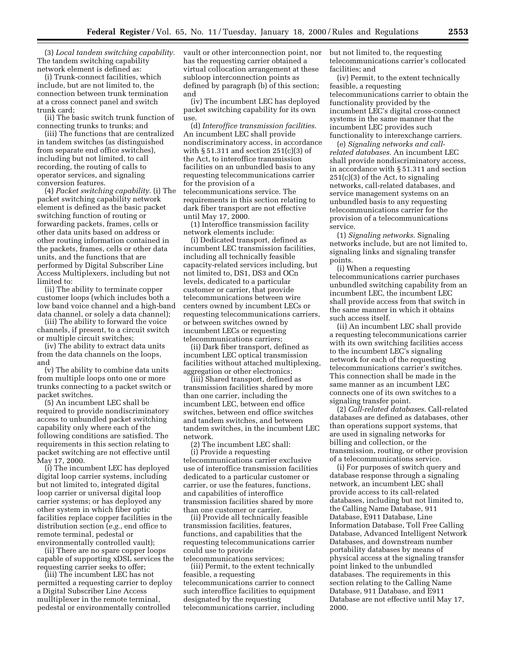(3) *Local tandem switching capability.* The tandem switching capability network element is defined as:

(i) Trunk-connect facilities, which include, but are not limited to, the connection between trunk termination at a cross connect panel and switch trunk card;

(ii) The basic switch trunk function of connecting trunks to trunks; and

(iii) The functions that are centralized in tandem switches (as distinguished from separate end office switches), including but not limited, to call recording, the routing of calls to operator services, and signaling conversion features.

(4) *Packet switching capability.* (i) The packet switching capability network element is defined as the basic packet switching function of routing or forwarding packets, frames, cells or other data units based on address or other routing information contained in the packets, frames, cells or other data units, and the functions that are performed by Digital Subscriber Line Access Multiplexers, including but not limited to:

(ii) The ability to terminate copper customer loops (which includes both a low band voice channel and a high-band data channel, or solely a data channel);

(iii) The ability to forward the voice channels, if present, to a circuit switch or multiple circuit switches;

(iv) The ability to extract data units from the data channels on the loops, and

(v) The ability to combine data units from multiple loops onto one or more trunks connecting to a packet switch or packet switches.

(5) An incumbent LEC shall be required to provide nondiscriminatory access to unbundled packet switching capability only where each of the following conditions are satisfied. The requirements in this section relating to packet switching are not effective until May 17, 2000.

(i) The incumbent LEC has deployed digital loop carrier systems, including but not limited to, integrated digital loop carrier or universal digital loop carrier systems; or has deployed any other system in which fiber optic facilities replace copper facilities in the distribution section (*e.g.*, end office to remote terminal, pedestal or environmentally controlled vault);

(ii) There are no spare copper loops capable of supporting xDSL services the requesting carrier seeks to offer;

(iii) The incumbent LEC has not permitted a requesting carrier to deploy a Digital Subscriber Line Access mulltiplexer in the remote terminal, pedestal or environmentally controlled

vault or other interconnection point, nor has the requesting carrier obtained a virtual collocation arrangement at these subloop interconnection points as defined by paragraph (b) of this section; and

(iv) The incumbent LEC has deployed packet switching capability for its own use.

(d) *Interoffice transmission facilities*. An incumbent LEC shall provide nondiscriminatory access, in accordance with  $\S 51.311$  and section 251(c)(3) of the Act, to interoffice transmission facilities on an unbundled basis to any requesting telecommunications carrier for the provision of a telecommunications service. The requirements in this section relating to dark fiber transport are not effective until May 17, 2000.

(1) Interoffice transmission facility network elements include:

(i) Dedicated transport, defined as incumbent LEC transmission facilities, including all technically feasible capacity-related services including, but not limited to, DS1, DS3 and OCn levels, dedicated to a particular customer or carrier, that provide telecommunications between wire centers owned by incumbent LECs or requesting telecommunications carriers, or between switches owned by incumbent LECs or requesting telecommunications carriers;

(ii) Dark fiber transport, defined as incumbent LEC optical transmission facilities without attached multiplexing, aggregation or other electronics;

(iii) Shared transport, defined as transmission facilities shared by more than one carrier, including the incumbent LEC, between end office switches, between end office switches and tandem switches, and between tandem switches, in the incumbent LEC network.

(2) The incumbent LEC shall: (i) Provide a requesting telecommunications carrier exclusive use of interoffice transmission facilities dedicated to a particular customer or carrier, or use the features, functions, and capabilities of interoffice transmission facilities shared by more than one customer or carrier.

(ii) Provide all technically feasible transmission facilities, features, functions, and capabilities that the requesting telecommunications carrier could use to provide telecommunications services;

(iii) Permit, to the extent technically feasible, a requesting telecommunications carrier to connect such interoffice facilities to equipment designated by the requesting telecommunications carrier, including

but not limited to, the requesting telecommunications carrier's collocated facilities; and

(iv) Permit, to the extent technically feasible, a requesting telecommunications carrier to obtain the functionality provided by the incumbent LEC's digital cross-connect systems in the same manner that the incumbent LEC provides such functionality to interexchange carriers.

(e) *Signaling networks and callrelated databases*. An incumbent LEC shall provide nondiscriminatory access, in accordance with § 51.311 and section 251(c)(3) of the Act, to signaling networks, call-related databases, and service management systems on an unbundled basis to any requesting telecommunications carrier for the provision of a telecommunications service.

(1) *Signaling networks*. Signaling networks include, but are not limited to, signaling links and signaling transfer points.

(i) When a requesting telecommunications carrier purchases unbundled switching capability from an incumbent LEC, the incumbent LEC shall provide access from that switch in the same manner in which it obtains such access itself.

(ii) An incumbent LEC shall provide a requesting telecommunications carrier with its own switching facilities access to the incumbent LEC's signaling network for each of the requesting telecommunications carrier's switches. This connection shall be made in the same manner as an incumbent LEC connects one of its own switches to a signaling transfer point.

(2) *Call-related databases*. Call-related databases are defined as databases, other than operations support systems, that are used in signaling networks for billing and collection, or the transmission, routing, or other provision of a telecommunications service.

(i) For purposes of switch query and database response through a signaling network, an incumbent LEC shall provide access to its call-related databases, including but not limited to, the Calling Name Database, 911 Database, E911 Database, Line Information Database, Toll Free Calling Database, Advanced Intelligent Network Databases, and downstream number portability databases by means of physical access at the signaling transfer point linked to the unbundled databases. The requirements in this section relating to the Calling Name Database, 911 Database, and E911 Database are not effective until May 17, 2000.